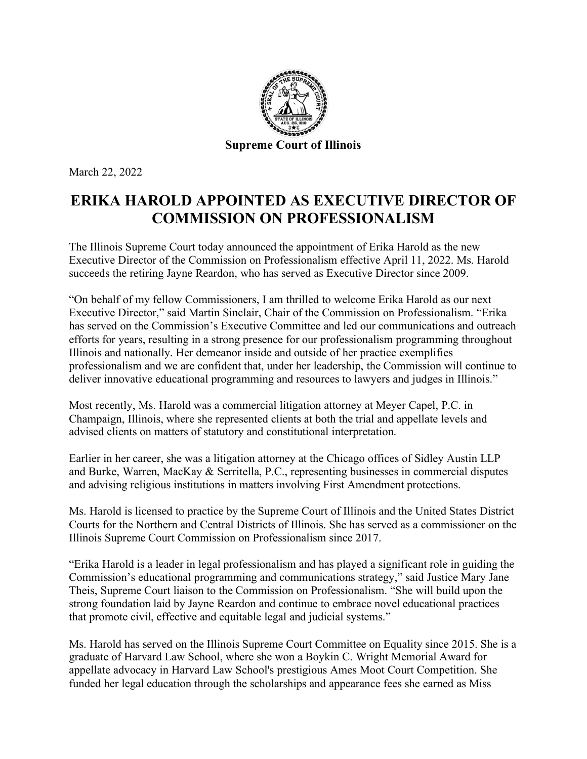

March 22, 2022

## **ERIKA HAROLD APPOINTED AS EXECUTIVE DIRECTOR OF COMMISSION ON PROFESSIONALISM**

The Illinois Supreme Court today announced the appointment of Erika Harold as the new Executive Director of the Commission on Professionalism effective April 11, 2022. Ms. Harold succeeds the retiring Jayne Reardon, who has served as Executive Director since 2009.

"On behalf of my fellow Commissioners, I am thrilled to welcome Erika Harold as our next Executive Director," said Martin Sinclair, Chair of the Commission on Professionalism. "Erika has served on the Commission's Executive Committee and led our communications and outreach efforts for years, resulting in a strong presence for our professionalism programming throughout Illinois and nationally. Her demeanor inside and outside of her practice exemplifies professionalism and we are confident that, under her leadership, the Commission will continue to deliver innovative educational programming and resources to lawyers and judges in Illinois."

Most recently, Ms. Harold was a commercial litigation attorney at Meyer Capel, P.C. in Champaign, Illinois, where she represented clients at both the trial and appellate levels and advised clients on matters of statutory and constitutional interpretation.

Earlier in her career, she was a litigation attorney at the Chicago offices of Sidley Austin LLP and Burke, Warren, MacKay & Serritella, P.C., representing businesses in commercial disputes and advising religious institutions in matters involving First Amendment protections.

Ms. Harold is licensed to practice by the Supreme Court of Illinois and the United States District Courts for the Northern and Central Districts of Illinois. She has served as a commissioner on the Illinois Supreme Court Commission on Professionalism since 2017.

"Erika Harold is a leader in legal professionalism and has played a significant role in guiding the Commission's educational programming and communications strategy," said Justice Mary Jane Theis, Supreme Court liaison to the Commission on Professionalism. "She will build upon the strong foundation laid by Jayne Reardon and continue to embrace novel educational practices that promote civil, effective and equitable legal and judicial systems."

Ms. Harold has served on the Illinois Supreme Court Committee on Equality since 2015. She is a graduate of Harvard Law School, where she won a Boykin C. Wright Memorial Award for appellate advocacy in Harvard Law School's prestigious Ames Moot Court Competition. She funded her legal education through the scholarships and appearance fees she earned as Miss